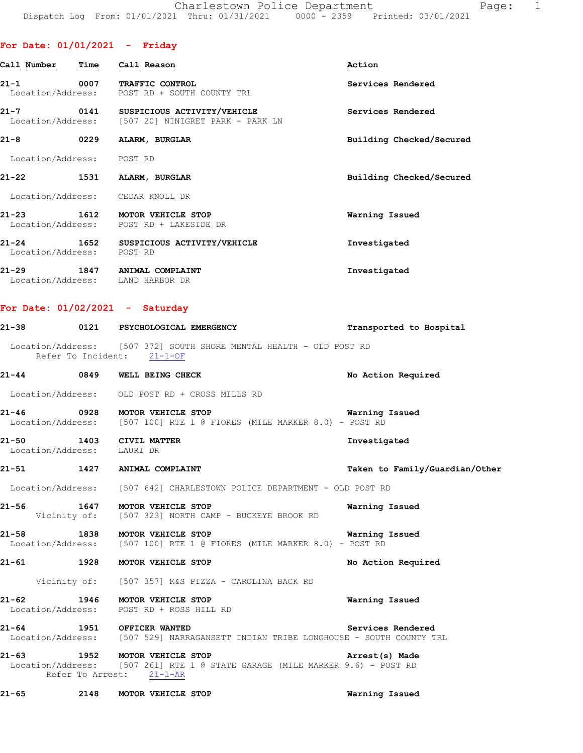| Call Number                            | <b>Time</b> | Call Reason                                                            | Action                   |
|----------------------------------------|-------------|------------------------------------------------------------------------|--------------------------|
| $21 - 1$                               | 0007        | <b>TRAFFIC CONTROL</b><br>Location/Address: POST RD + SOUTH COUNTY TRL | Services Rendered        |
| $21 - 7$<br>Location/Address:          |             | 0141 SUSPICIOUS ACTIVITY/VEHICLE<br>[507 20] NINIGRET PARK - PARK LN   | Services Rendered        |
| $21 - 8$                               | 0229        | ALARM, BURGLAR                                                         | Building Checked/Secured |
| Location/Address: POST RD              |             |                                                                        |                          |
| $21 - 22$                              | 1531        | ALARM, BURGLAR                                                         | Building Checked/Secured |
|                                        |             | Location/Address: CEDAR KNOLL DR                                       |                          |
| $21 - 23$                              | 1612        | MOTOR VEHICLE STOP<br>Location/Address: POST RD + LAKESIDE DR          | Warning Issued           |
| $21 - 24$<br>1652<br>Location/Address: |             | SUSPICIOUS ACTIVITY/VEHICLE<br>POST RD                                 | Investigated             |
| $21 - 29$                              | 1847        | ANIMAL COMPLAINT<br>Location/Address: LAND HARBOR DR                   | Investigated             |

## **For Date: 01/02/2021 - Saturday**

|                            | 21-38 0121 PSYCHOLOGICAL EMERGENCY                                                                                                                                          | Transported to Hospital        |
|----------------------------|-----------------------------------------------------------------------------------------------------------------------------------------------------------------------------|--------------------------------|
|                            | Location/Address: [507 372] SOUTH SHORE MENTAL HEALTH - OLD POST RD<br>Refer To Incident: 21-1-OF                                                                           |                                |
|                            | 21-44 0849 WELL BEING CHECK NO Action Required                                                                                                                              |                                |
|                            | Location/Address: OLD POST RD + CROSS MILLS RD                                                                                                                              |                                |
|                            | 21-46       0928   MOTOR VEHICLE STOP                  Warning Issued<br>Location/Address: [507 100] RTE 1 @ FIORES (MILE MARKER 8.0) - POST RD                             |                                |
| Location/Address: LAURI DR | 21-50 1403 CIVIL MATTER                                                                                                                                                     | Investigated                   |
|                            | 21-51 1427 ANIMAL COMPLAINT                                                                                                                                                 | Taken to Family/Guardian/Other |
|                            | Location/Address: [507 642] CHARLESTOWN POLICE DEPARTMENT - OLD POST RD                                                                                                     |                                |
|                            | 21-56 1647 MOTOR VEHICLE STOP 1991 1991 Marning Issued<br>Vicinity of: [507 323] NORTH CAMP - BUCKEYE BROOK RD                                                              |                                |
|                            | 21-58 		 1838 		 MOTOR VEHICLE STOP 		 barning Issued<br>Location/Address: [507 100] RTE 1 @ FIORES (MILE MARKER 8.0) - POST RD                                             |                                |
|                            | 21-61 1928 MOTOR VEHICLE STOP                                                                                                                                               | No Action Required             |
|                            | Vicinity of: [507 357] K&S PIZZA - CAROLINA BACK RD                                                                                                                         |                                |
|                            | 21-62 1946 MOTOR VEHICLE STOP<br>Location/Address: POST RD + ROSS HILL RD                                                                                                   | Warning Issued                 |
|                            | 21-64 1951 OFFICER WANTED<br>Location/Address: [507 529] NARRAGANSETT INDIAN TRIBE LONGHOUSE - SOUTH COUNTY TRL                                                             |                                |
|                            | 21-63 1952 MOTOR VEHICLE STOP NOTOR TELEVISION Arrest(s) Made<br>  Location/Address: [507 261] RTE 1 @ STATE GARAGE (MILE MARKER 9.6) - POST RD<br>Refer To Arrest: 21-1-AR |                                |
|                            | 21-65 2148 MOTOR VEHICLE STOP                                                                                                                                               | Warning Issued                 |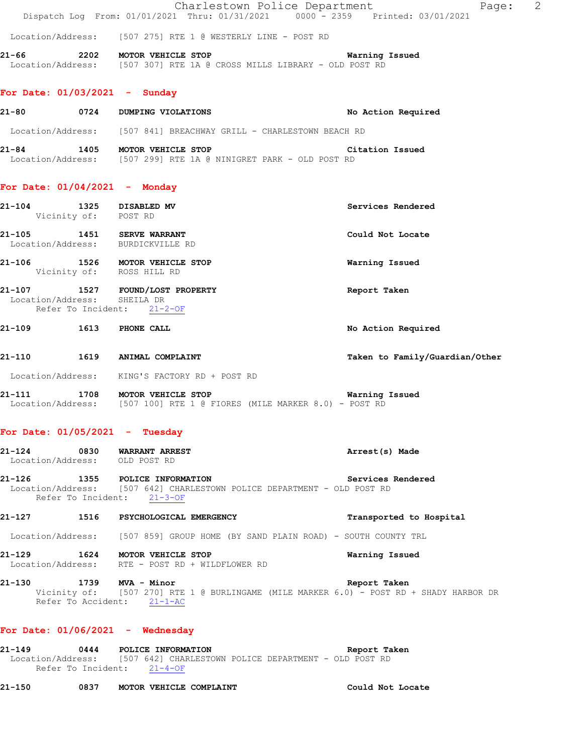Charlestown Police Department Page: 2 Dispatch Log From: 01/01/2021 Thru: 01/31/2021 0000 - 2359 Printed: 03/01/2021

Location/Address: [507 275] RTE 1 @ WESTERLY LINE - POST RD

**21-66 2202 MOTOR VEHICLE STOP Warning Issued**  Location/Address: [507 307] RTE 1A @ CROSS MILLS LIBRARY - OLD POST RD

#### **For Date: 01/03/2021 - Sunday**

| 21-80             | 0724 | No Action Required<br>DUMPING VIOLATIONS         |  |
|-------------------|------|--------------------------------------------------|--|
| Location/Address: |      | [507 841] BREACHWAY GRILL - CHARLESTOWN BEACH RD |  |
| 21–84             | 1405 | MOTOR VEHICLE STOP<br>Citation Issued            |  |
| Location/Address: |      | [507 299] RTE 1A @ NINIGRET PARK - OLD POST RD   |  |

#### **For Date: 01/04/2021 - Monday**

| 21-104<br>1325<br>Vicinity of:      | DISABLED MV<br>POST RD             | Services Rendered |
|-------------------------------------|------------------------------------|-------------------|
| 21-105<br>1451<br>Location/Address: | SERVE WARRANT<br>BURDICKVILLE RD   | Could Not Locate  |
| 21-106<br>1526<br>Vicinity of:      | MOTOR VEHICLE STOP<br>ROSS HILL RD | Warning Issued    |
| 21-107<br>1527<br>Location/Address: | FOUND/LOST PROPERTY<br>SHEILA DR   | Report Taken      |

Refer To Incident: 21-2-OF

- **21-109 1613 PHONE CALL No Action Required**
- **21-110 1619 ANIMAL COMPLAINT Taken to Family/Guardian/Other**
- Location/Address: KING'S FACTORY RD + POST RD
- **21-111 1708 MOTOR VEHICLE STOP Warning Issued**  Location/Address: [507 100] RTE 1 @ FIORES (MILE MARKER 8.0) - POST RD

#### **For Date: 01/05/2021 - Tuesday**

| 21-124            | 0830 | WARRANT ARREST | Arrest(s) Made |
|-------------------|------|----------------|----------------|
| Location/Address: |      | OLD POST RD    |                |

#### **21-126 1355 POLICE INFORMATION Services Rendered**  Location/Address: [507 642] CHARLESTOWN POLICE DEPARTMENT - OLD POST RD Refer To Incident: 21-3-OF

**21-127 1516 PSYCHOLOGICAL EMERGENCY Transported to Hospital**  Location/Address: [507 859] GROUP HOME (BY SAND PLAIN ROAD) - SOUTH COUNTY TRL

**21-129 1624 MOTOR VEHICLE STOP Warning Issued**  Location/Address: RTE - POST RD + WILDFLOWER RD

**21-130 1739 MVA - Minor Report Taken**  Vicinity of: [507 270] RTE 1 @ BURLINGAME (MILE MARKER 6.0) - POST RD + SHADY HARBOR DR Refer To Accident: 21-1-AC

#### **For Date: 01/06/2021 - Wednesday**

| 21–149 | 0444                       |  | POLICE INFORMATION                                                      |  |  | Report Taken |  |
|--------|----------------------------|--|-------------------------------------------------------------------------|--|--|--------------|--|
|        |                            |  | Location/Address: [507 642] CHARLESTOWN POLICE DEPARTMENT - OLD POST RD |  |  |              |  |
|        | Refer To Incident: 21-4-OF |  |                                                                         |  |  |              |  |

**21-150 0837 MOTOR VEHICLE COMPLAINT Could Not Locate**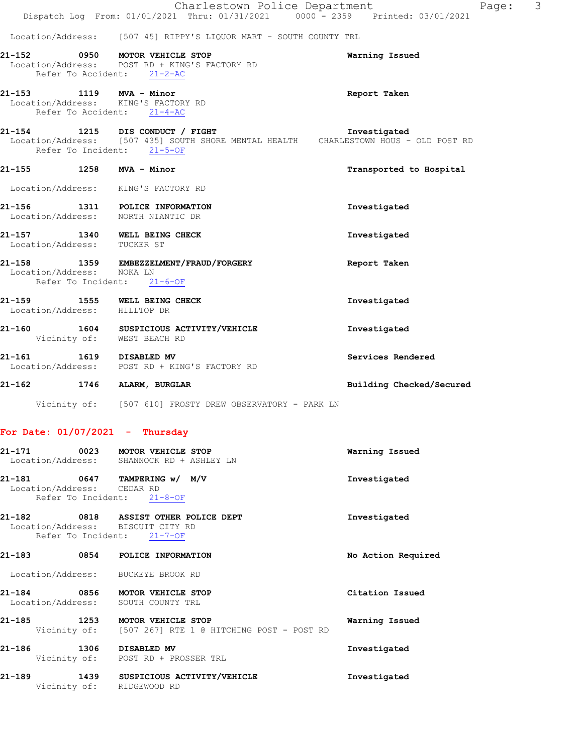|                                                                                                | Charlestown Police Department<br>Dispatch Log From: 01/01/2021 Thru: 01/31/2021 0000 - 2359 Printed: 03/01/2021                                                      | Page:                    | 3 |
|------------------------------------------------------------------------------------------------|----------------------------------------------------------------------------------------------------------------------------------------------------------------------|--------------------------|---|
|                                                                                                | Location/Address: [507 45] RIPPY'S LIQUOR MART - SOUTH COUNTY TRL                                                                                                    |                          |   |
| Refer To Accident: 21-2-AC                                                                     | 21-152 0950 MOTOR VEHICLE STOP<br>Location/Address: POST RD + KING'S FACTORY RD                                                                                      | Warning Issued           |   |
| 21-153 1119 MVA - Minor<br>Location/Address: KING'S FACTORY RD<br>Refer To Accident: $21-4-AC$ |                                                                                                                                                                      | Report Taken             |   |
| Refer To Incident: 21-5-OF                                                                     | 21-154 1215 DIS CONDUCT / FIGHT                                 Investigated<br>Location/Address: [507 435] SOUTH SHORE MENTAL HEALTH CHARLESTOWN HOUS - OLD POST RD |                          |   |
| 21-155 1258 MVA - Minor                                                                        |                                                                                                                                                                      | Transported to Hospital  |   |
| Location/Address: KING'S FACTORY RD                                                            |                                                                                                                                                                      |                          |   |
| 21-156 1311 POLICE INFORMATION<br>Location/Address: NORTH NIANTIC DR                           |                                                                                                                                                                      | Investigated             |   |
| 21-157 1340 WELL BEING CHECK<br>Location/Address: TUCKER ST                                    |                                                                                                                                                                      | Investigated             |   |
| Location/Address: NOKA LN<br>Refer To Incident: 21-6-OF                                        | 21-158 1359 EMBEZZELMENT/FRAUD/FORGERY                                                                                                                               | Report Taken             |   |
| Location/Address: HILLTOP DR                                                                   | 21-159 1555 WELL BEING CHECK                                                                                                                                         | Investigated             |   |
| Vicinity of: WEST BEACH RD                                                                     | 21-160 1604 SUSPICIOUS ACTIVITY/VEHICLE                                                                                                                              | Investigated             |   |
| 21-161 1619 DISABLED MV                                                                        | Location/Address: POST RD + KING'S FACTORY RD                                                                                                                        | Services Rendered        |   |
| 21-162 1746 ALARM, BURGLAR                                                                     |                                                                                                                                                                      | Building Checked/Secured |   |
|                                                                                                | Vicinity of: [507 610] FROSTY DREW OBSERVATORY - PARK LN                                                                                                             |                          |   |

# **For Date: 01/07/2021 - Thursday**

| 21-171 0023 MOTOR VEHICLE STOP                                                           | Location/Address: SHANNOCK RD + ASHLEY LN                                         | Warning Issued     |
|------------------------------------------------------------------------------------------|-----------------------------------------------------------------------------------|--------------------|
| 21-181 0647 TAMPERING w/ M/V<br>Location/Address: CEDAR RD<br>Refer To Incident: 21-8-OF |                                                                                   | Investigated       |
| Location/Address: BISCUIT CITY RD<br>Refer To Incident: 21-7-OF                          |                                                                                   | Investigated       |
| 21-183 0854 POLICE INFORMATION                                                           |                                                                                   | No Action Required |
| Location/Address: BUCKEYE BROOK RD                                                       |                                                                                   |                    |
| 21-184 0856 MOTOR VEHICLE STOP<br>Location/Address: SOUTH COUNTY TRL                     |                                                                                   | Citation Issued    |
| 21-185                                                                                   | 1253 MOTOR VEHICLE STOP<br>Vicinity of: [507 267] RTE 1 @ HITCHING POST - POST RD | Warning Issued     |
| 21-186<br>1306 DISABLED MV                                                               | Vicinity of: POST RD + PROSSER TRL                                                | Investigated       |
| 21-189<br>Vicinity of: RIDGEWOOD RD                                                      | 1439 SUSPICIOUS ACTIVITY/VEHICLE                                                  | Investigated       |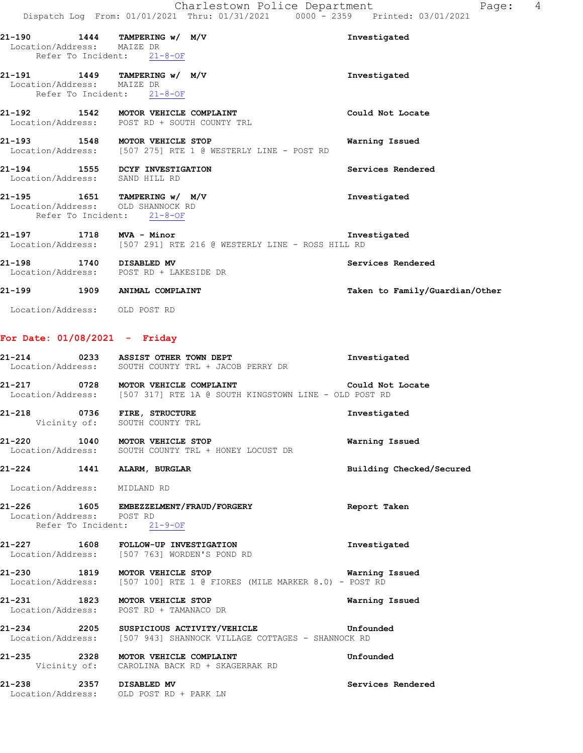| Location/Address: MAIZE DR     | 21-190 1444 TAMPERING w/ M/V<br>Refer To Incident: 21-8-OF                                      | Investigated                   |
|--------------------------------|-------------------------------------------------------------------------------------------------|--------------------------------|
| Location/Address: MAIZE DR     | 21-191 1449 TAMPERING w/ M/V<br>Refer To Incident: 21-8-OF                                      | Investigated                   |
|                                | 21-192 1542 MOTOR VEHICLE COMPLAINT<br>Location/Address: POST RD + SOUTH COUNTY TRL             | Could Not Locate               |
|                                | 21-193 1548 MOTOR VEHICLE STOP<br>Location/Address: [507 275] RTE 1 @ WESTERLY LINE - POST RD   | Warning Issued                 |
| Location/Address: SAND HILL RD | 21-194 1555 DCYF INVESTIGATION                                                                  | Services Rendered              |
|                                | 21-195 1651 TAMPERING w/ M/V<br>Location/Address: OLD SHANNOCK RD<br>Refer To Incident: 21-8-OF | Investigated                   |
| 21-197 1718 MVA - Minor        | Location/Address: [507 291] RTE 216 @ WESTERLY LINE - ROSS HILL RD                              | Investigated                   |
| 21-198 1740                    | <b>DISABLED MV</b><br>Location/Address: POST RD + LAKESIDE DR                                   | Services Rendered              |
| 21-199                         | 1909 ANIMAL COMPLAINT                                                                           | Taken to Family/Guardian/Other |

Location/Address: OLD POST RD

## **For Date: 01/08/2021 - Friday**

|                              | 21-214 0233 ASSIST OTHER TOWN DEPT<br>Location/Address: SOUTH COUNTY TRL + JACOB PERRY DR                                | Investigated             |
|------------------------------|--------------------------------------------------------------------------------------------------------------------------|--------------------------|
|                              | 21-217 0728 MOTOR VEHICLE COMPLAINT<br>Location/Address: [507 317] RTE 1A @ SOUTH KINGSTOWN LINE - OLD POST RD           | Could Not Locate         |
| 21-218 0736 FIRE, STRUCTURE  | Vicinity of: SOUTH COUNTY TRL                                                                                            | Investigated             |
|                              | 21-220 1040 MOTOR VEHICLE STOP<br>Location/Address: SOUTH COUNTY TRL + HONEY LOCUST DR                                   | Warning Issued           |
| 21-224 1441 ALARM, BURGLAR   |                                                                                                                          | Building Checked/Secured |
| Location/Address: MIDLAND RD |                                                                                                                          |                          |
|                              | 21-226 1605 EMBEZZELMENT/FRAUD/FORGERY<br>Location/Address: POST RD<br>Refer To Incident: 21-9-OF                        | Report Taken             |
|                              | 21-227 1608 FOLLOW-UP INVESTIGATION<br>Location/Address: [507 763] WORDEN'S POND RD                                      | Investigated             |
|                              | 21-230 1819 MOTOR VEHICLE STOP Narning Issued<br>Location/Address: [507 100] RTE 1 @ FIORES (MILE MARKER 8.0) - POST RD  |                          |
|                              | 21-231 1823 MOTOR VEHICLE STOP<br>Location/Address: POST RD + TAMANACO DR                                                | Warning Issued           |
|                              | 21-234 2205 SUSPICIOUS ACTIVITY/VEHICLE Unfounded<br>Location/Address: [507 943] SHANNOCK VILLAGE COTTAGES - SHANNOCK RD |                          |
|                              | 21-235 2328 MOTOR VEHICLE COMPLAINT<br>Vicinity of: CAROLINA BACK RD + SKAGERRAK RD                                      | Unfounded                |
|                              | 21-238 2357 DISABLED MV<br>Location/Address: OLD POST RD + PARK LN                                                       | Services Rendered        |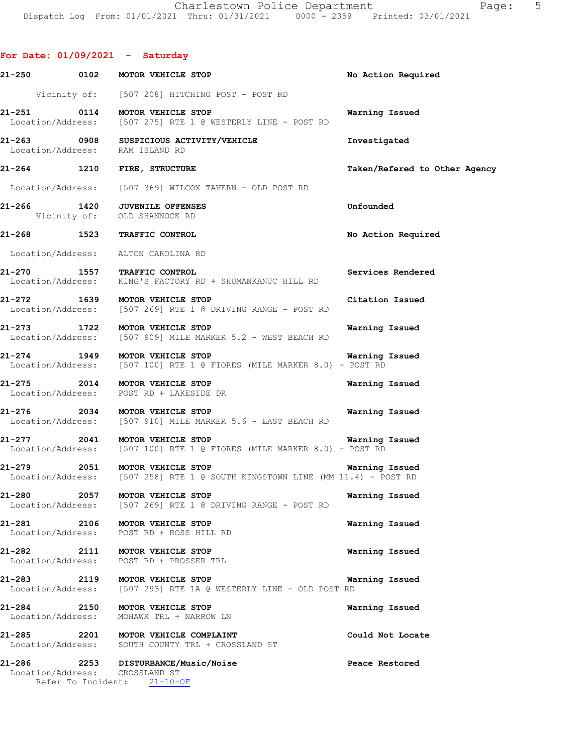**For Date: 01/09/2021 - Saturday 21-250 0102 MOTOR VEHICLE STOP No Action Required**  Vicinity of: [507 208] HITCHING POST - POST RD **21-251 0114 MOTOR VEHICLE STOP Warning Issued**  Location/Address: [507 275] RTE 1 @ WESTERLY LINE - POST RD 21-263 0908 SUSPICIOUS ACTIVITY/VEHICLE **Investigated Investigated Investigated** Location/Address: **21-264 1210 FIRE, STRUCTURE Taken/Refered to Other Agency** Location/Address: [507 369] WILCOX TAVERN - OLD POST RD **21-266 1420 JUVENILE OFFENSES Unfounded**  Vicinity of: OLD SHANNOCK RD **21-268 1523 TRAFFIC CONTROL No Action Required**  Location/Address: ALTON CAROLINA RD **21-270 1557 TRAFFIC CONTROL Services Rendered**  Location/Address: KING'S FACTORY RD + SHUMANKANUC HILL RD **21-272 1639 MOTOR VEHICLE STOP Citation Issued**  Location/Address: [507 269] RTE 1 @ DRIVING RANGE - POST RD **21-273 1722 MOTOR VEHICLE STOP Warning Issued**  Location/Address: [507 909] MILE MARKER 5.2 - WEST BEACH RD **21-274 1949 MOTOR VEHICLE STOP Warning Issued**  Location/Address: [507 100] RTE 1 @ FIORES (MILE MARKER 8.0) - POST RD **21-275 2014 MOTOR VEHICLE STOP Warning Issued**  Location/Address: POST RD + LAKESIDE DR **21-276 2034 MOTOR VEHICLE STOP Warning Issued**  Location/Address: [507 910] MILE MARKER 5.6 - EAST BEACH RD **21-277 2041 MOTOR VEHICLE STOP Warning Issued**  Location/Address: [507 100] RTE 1 @ FIORES (MILE MARKER 8.0) - POST RD **21-279 2051 MOTOR VEHICLE STOP Warning Issued**  Location/Address: [507 258] RTE 1 @ SOUTH KINGSTOWN LINE (MM 11.4) - POST RD **21-280 2057 MOTOR VEHICLE STOP Warning Issued**  Location/Address: [507 269] RTE 1 @ DRIVING RANGE - POST RD **21-281 2106 MOTOR VEHICLE STOP Warning Issued**  Location/Address: POST RD + ROSS HILL RD **21-282 2111 MOTOR VEHICLE STOP Warning Issued**  POST RD + PROSSER TRL **21-283 2119 MOTOR VEHICLE STOP Warning Issued**  Location/Address: [507 293] RTE 1A @ WESTERLY LINE - OLD POST RD **21-284 2150 MOTOR VEHICLE STOP Warning Issued**  Location/Address: MOHAWK TRL + NARROW LN **21-285 2201 MOTOR VEHICLE COMPLAINT Could Not Locate**  Location/Address: SOUTH COUNTY TRL + CROSSLAND ST 21-286 2253 DISTURBANCE/Music/Noise **Peace Restored Peace Restored Peace Restored** Location/Address:

Refer To Incident: 21-10-OF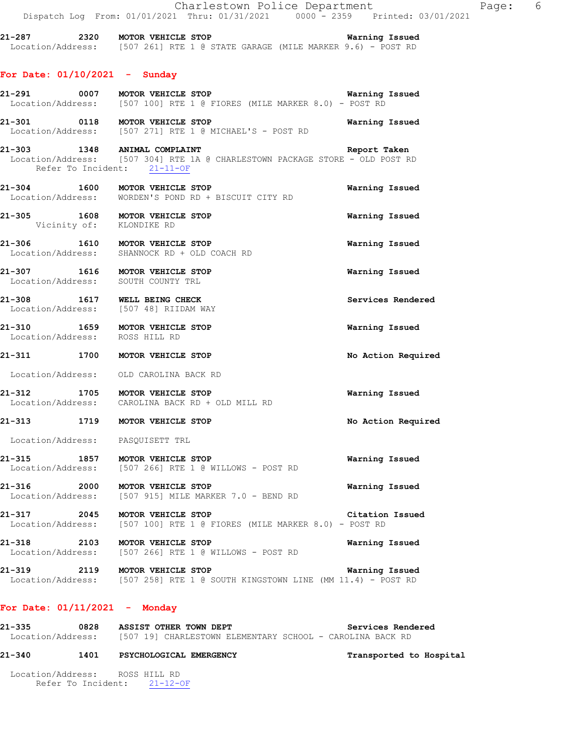**21-287 2320 MOTOR VEHICLE STOP Warning Issued**  Location/Address: [507 261] RTE 1 @ STATE GARAGE (MILE MARKER 9.6) - POST RD

#### **For Date: 01/10/2021 - Sunday**

- **21-291 0007 MOTOR VEHICLE STOP Warning Issued**  Location/Address: [507 100] RTE 1 @ FIORES (MILE MARKER 8.0) - POST RD
- **21-301 0118 MOTOR VEHICLE STOP Warning Issued**  Location/Address: [507 271] RTE 1 @ MICHAEL'S - POST RD
- **21-303 1348 ANIMAL COMPLAINT Report Taken**  Location/Address: [507 304] RTE 1A @ CHARLESTOWN PACKAGE STORE - OLD POST RD Refer To Incident: 21-11-OF
- **21-304 1600 MOTOR VEHICLE STOP Warning Issued**  Location/Address: WORDEN'S POND RD + BISCUIT CITY RD
- **21-305 1608 MOTOR VEHICLE STOP Warning Issued**  Vicinity of: KLONDIKE RD
- **21-306 1610 MOTOR VEHICLE STOP Warning Issued**  Location/Address: SHANNOCK RD + OLD COACH RD
- **21-307 1616 MOTOR VEHICLE STOP Warning Issued**  Location/Address: SOUTH COUNTY TRL
- **21-308 1617 WELL BEING CHECK Services Rendered**  Location/Address: [507 48] RIIDAM WAY
- **21-310 1659 MOTOR VEHICLE STOP Warning Issued**  Location/Address: ROSS HILL RD
- **21-311 1700 MOTOR VEHICLE STOP No Action Required**
- Location/Address: OLD CAROLINA BACK RD
- **21-312 1705 MOTOR VEHICLE STOP Warning Issued**  Location/Address: CAROLINA BACK RD + OLD MILL RD
- **21-313 1719 MOTOR VEHICLE STOP No Action Required**
- Location/Address: PASQUISETT TRL
- **21-315 1857 MOTOR VEHICLE STOP Warning Issued**  Location/Address: [507 266] RTE 1 @ WILLOWS - POST RD
- **21-316 2000 MOTOR VEHICLE STOP Warning Issued**  Location/Address: [507 915] MILE MARKER 7.0 - BEND RD
- **21-317 2045 MOTOR VEHICLE STOP Citation Issued**  Location/Address: [507 100] RTE 1 @ FIORES (MILE MARKER 8.0) - POST RD
- **21-318 2103 MOTOR VEHICLE STOP WAREL WAREL WAREL AT ALL WAREL WAREL WAREL WAREL WAREL WAREL WAS** Location/Address: [507 266] RTE 1 @ WILLOWS - POST RD
- **21-319 2119 MOTOR VEHICLE STOP Warning Issued**  Location/Address: [507 258] RTE 1 @ SOUTH KINGSTOWN LINE (MM 11.4) - POST RD

#### **For Date: 01/11/2021 - Monday**

**21-335 0828 ASSIST OTHER TOWN DEPT Services Rendered**  Location/Address: [507 19] CHARLESTOWN ELEMENTARY SCHOOL - CAROLINA BACK RD

#### **21-340 1401 PSYCHOLOGICAL EMERGENCY Transported to Hospital**

 Location/Address: ROSS HILL RD Refer To Incident: 21-12-OF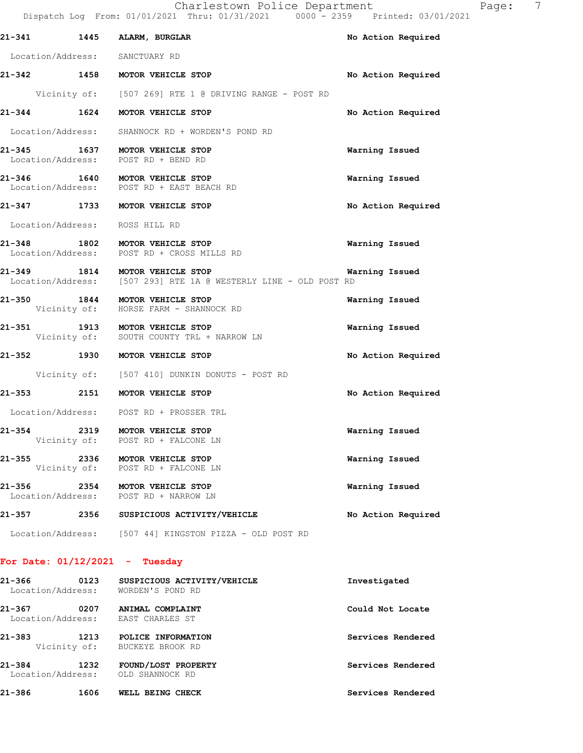|            |      | Dispatch Log From: 01/01/2021 Thru: 01/31/2021 0000 - 2359 Printed: 03/01/2021                     |                    |
|------------|------|----------------------------------------------------------------------------------------------------|--------------------|
|            |      | 21-341 1445 ALARM, BURGLAR                                                                         | No Action Required |
|            |      | Location/Address: SANCTUARY RD                                                                     |                    |
|            |      | 21-342 1458 MOTOR VEHICLE STOP                                                                     | No Action Required |
|            |      | Vicinity of: [507 269] RTE 1 @ DRIVING RANGE - POST RD                                             |                    |
|            |      | 21-344 1624 MOTOR VEHICLE STOP                                                                     | No Action Required |
|            |      | Location/Address: SHANNOCK RD + WORDEN'S POND RD                                                   |                    |
|            |      | 21-345 1637 MOTOR VEHICLE STOP<br>Location/Address: POST RD + BEND RD                              | Warning Issued     |
|            |      | 21-346 1640 MOTOR VEHICLE STOP<br>Location/Address: POST RD + EAST BEACH RD                        | Warning Issued     |
|            |      | 21-347 1733 MOTOR VEHICLE STOP                                                                     | No Action Required |
|            |      | Location/Address: ROSS HILL RD                                                                     |                    |
|            |      | 21-348 1802 MOTOR VEHICLE STOP<br>Location/Address: POST RD + CROSS MILLS RD                       | Warning Issued     |
|            |      | 21-349 1814 MOTOR VEHICLE STOP<br>Location/Address: [507 293] RTE 1A @ WESTERLY LINE - OLD POST RD | Warning Issued     |
|            |      | 21-350 1844 MOTOR VEHICLE STOP<br>Vicinity of: HORSE FARM - SHANNOCK RD                            | Warning Issued     |
| $21 - 351$ |      | -351 1913 MOTOR VEHICLE STOP<br>Vicinity of: SOUTH COUNTY TRL + NARROW LN                          | Warning Issued     |
|            |      | 21-352 1930 MOTOR VEHICLE STOP                                                                     | No Action Required |
|            |      | Vicinity of: [507 410] DUNKIN DONUTS - POST RD                                                     |                    |
|            |      | 21-353 2151 MOTOR VEHICLE STOP                                                                     | No Action Required |
|            |      | Location/Address: POST RD + PROSSER TRL                                                            |                    |
| 21-354     |      | 2319 MOTOR VEHICLE STOP<br>Vicinity of: POST RD + FALCONE LN                                       | Warning Issued     |
| $21 - 355$ | 2336 | MOTOR VEHICLE STOP<br>Vicinity of: POST RD + FALCONE LN                                            | Warning Issued     |
| 21-356     |      | 2354 MOTOR VEHICLE STOP<br>Location/Address: POST RD + NARROW LN                                   | Warning Issued     |
|            |      | 21-357 2356 SUSPICIOUS ACTIVITY/VEHICLE                                                            | No Action Required |
|            |      | Location/Address: [507 44] KINGSTON PIZZA - OLD POST RD                                            |                    |

## **For Date: 01/12/2021 - Tuesday**

| 21-366<br>Location/Address:     | 0123                 | SUSPICIOUS ACTIVITY/VEHICLE<br>WORDEN'S POND RD | Investigated      |
|---------------------------------|----------------------|-------------------------------------------------|-------------------|
| $21 - 367$<br>Location/Address: | 0207                 | ANIMAL COMPLAINT<br>EAST CHARLES ST             | Could Not Locate  |
| $21 - 383$                      | 1213<br>Vicinity of: | POLICE INFORMATION<br>BUCKEYE BROOK RD          | Services Rendered |
| $21 - 384$<br>Location/Address: | 1232                 | FOUND/LOST PROPERTY<br>OLD SHANNOCK RD          | Services Rendered |
| $21 - 386$                      | 1606                 | WELL BEING CHECK                                | Services Rendered |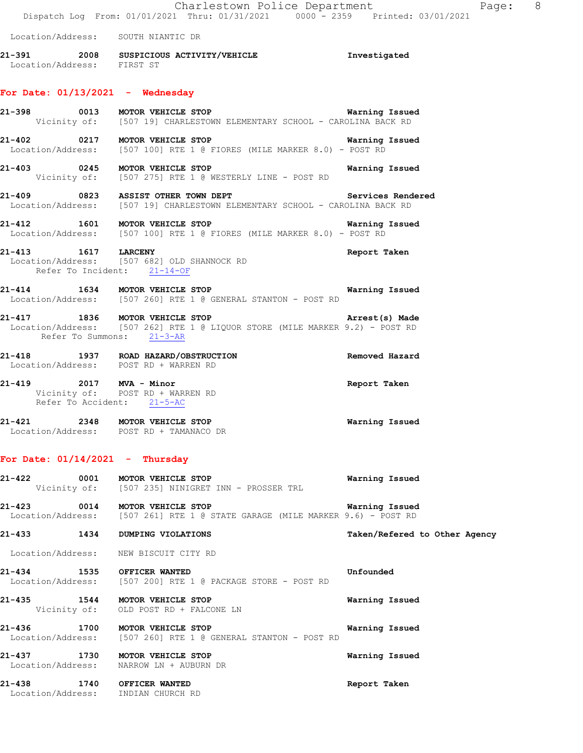Charlestown Police Department Fage: 8 Dispatch Log From: 01/01/2021 Thru: 01/31/2021 0000 - 2359 Printed: 03/01/2021 Location/Address: SOUTH NIANTIC DR **21-391 2008 SUSPICIOUS ACTIVITY/VEHICLE Investigated**  Location/Address: FIRST ST **For Date: 01/13/2021 - Wednesday 21-398 0013 MOTOR VEHICLE STOP Warning Issued**  Vicinity of: [507 19] CHARLESTOWN ELEMENTARY SCHOOL - CAROLINA BACK RD **21-402 0217 MOTOR VEHICLE STOP Warning Issued**  Location/Address: [507 100] RTE 1 @ FIORES (MILE MARKER 8.0) - POST RD **21-403 0245 MOTOR VEHICLE STOP Warning Issued**  Vicinity of: [507 275] RTE 1 @ WESTERLY LINE - POST RD **21-409 0823 ASSIST OTHER TOWN DEPT Services Rendered**  Location/Address: [507 19] CHARLESTOWN ELEMENTARY SCHOOL - CAROLINA BACK RD

**21-412 1601 MOTOR VEHICLE STOP Warning Issued**  Location/Address: [507 100] RTE 1 @ FIORES (MILE MARKER 8.0) - POST RD

**21-413 1617 LARCENY Report Taken**  Location/Address: [507 682] OLD SHANNOCK RD Refer To Incident: 21-14-OF

**21-414 1634 MOTOR VEHICLE STOP Warning Issued**  Location/Address: [507 260] RTE 1 @ GENERAL STANTON - POST RD

**21-417 1836 MOTOR VEHICLE STOP Arrest(s) Made**  Location/Address: [507 262] RTE 1 @ LIQUOR STORE (MILE MARKER 9.2) - POST RD Refer To Summons: 21-3-AR

**21-418 1937 ROAD HAZARD/OBSTRUCTION Removed Hazard**  Location/Address: POST RD + WARREN RD **21-419 2017 MVA - Minor Report Taken** 

 Vicinity of: POST RD + WARREN RD Refer To Accident: 21-5-AC

**21-421 2348 MOTOR VEHICLE STOP Warning Issued**  Location/Address: POST RD + TAMANACO DR

#### **For Date: 01/14/2021 - Thursday**

| 21-422         | 0001<br>MOTOR VEHICLE STOP<br>Vicinity of: [507 235] NINIGRET INN - PROSSER TRL                                | Warning Issued                |
|----------------|----------------------------------------------------------------------------------------------------------------|-------------------------------|
|                | 21-423 0014 MOTOR VEHICLE STOP<br>Location/Address: [507 261] RTE 1 @ STATE GARAGE (MILE MARKER 9.6) - POST RD | Warning Issued                |
| 21-433         | 1434<br>DUMPING VIOLATIONS                                                                                     | Taken/Refered to Other Agency |
|                | Location/Address: NEW BISCUIT CITY RD                                                                          |                               |
|                | 21-434 1535 OFFICER WANTED<br>Location/Address: [507 200] RTE 1 @ PACKAGE STORE - POST RD                      | Unfounded                     |
| 21-435 1544    | MOTOR VEHICLE STOP<br>Vicinity of: OLD POST RD + FALCONE LN                                                    | Warning Issued                |
|                | 21-436 1700 MOTOR VEHICLE STOP<br>Location/Address: [507 260] RTE 1 @ GENERAL STANTON - POST RD                | Warning Issued                |
|                | 21-437 1730 MOTOR VEHICLE STOP<br>Location/Address: NARROW LN + AUBURN DR                                      | Warning Issued                |
| 21-438<br>1740 | OFFICER WANTED                                                                                                 | Report Taken                  |

Location/Address: INDIAN CHURCH RD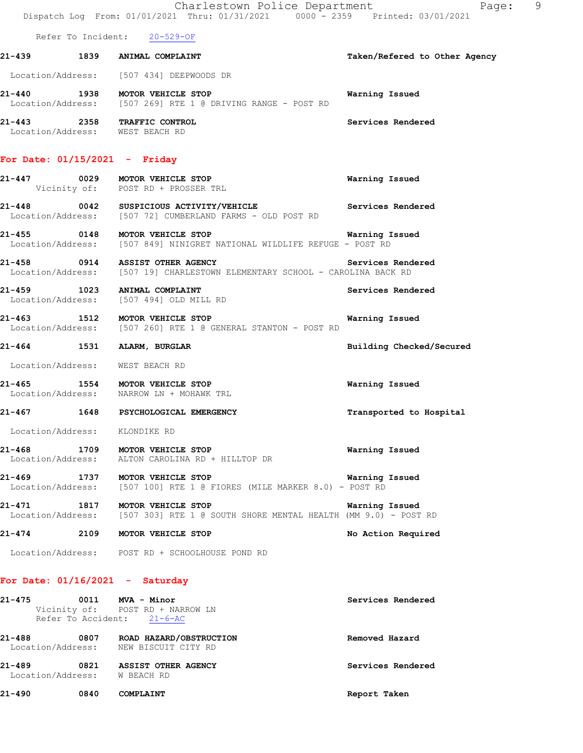|        |                                 | Charlestown Police Department<br>Dispatch Log From: 01/01/2021 Thru: 01/31/2021 0000 - 2359 Printed: 03/01/2021 | Page: 9                       |
|--------|---------------------------------|-----------------------------------------------------------------------------------------------------------------|-------------------------------|
|        |                                 | Refer To Incident: 20-529-OF                                                                                    |                               |
|        |                                 | 21-439 1839 ANIMAL COMPLAINT                                                                                    | Taken/Refered to Other Agency |
|        |                                 | Location/Address: [507 434] DEEPWOODS DR                                                                        |                               |
|        |                                 | 21-440 1938 MOTOR VEHICLE STOP<br>Location/Address: [507 269] RTE 1 @ DRIVING RANGE - POST RD                   | Warning Issued                |
|        | Location/Address: WEST BEACH RD | 21-443 2358 TRAFFIC CONTROL                                                                                     | Services Rendered             |
|        | For Date: $01/15/2021$ - Friday |                                                                                                                 |                               |
|        |                                 | 21-447 0029 MOTOR VEHICLE STOP<br>Vicinity of: POST RD + PROSSER TRL                                            | Warning Issued                |
|        |                                 | 21-448 0042 SUSPICIOUS ACTIVITY/VEHICLE<br>Location/Address: [507 72] CUMBERLAND FARMS - OLD POST RD            | Services Rendered             |
|        |                                 | 21-455 0148 MOTOR VEHICLE STOP<br>Location/Address: [507 849] NINIGRET NATIONAL WILDLIFE REFUGE - POST RD       | Warning Issued                |
|        |                                 | 21-458 0914 ASSIST OTHER AGENCY<br>Location/Address: [507 19] CHARLESTOWN ELEMENTARY SCHOOL - CAROLINA BACK RD  | Services Rendered             |
|        |                                 | 21-459 1023 ANIMAL COMPLAINT<br>Location/Address: [507 494] OLD MILL RD                                         | Services Rendered             |
|        |                                 | 21-463 1512 MOTOR VEHICLE STOP<br>Location/Address: [507 260] RTE 1 @ GENERAL STANTON - POST RD                 | Warning Issued                |
|        |                                 | 21-464 1531 ALARM, BURGLAR                                                                                      | Building Checked/Secured      |
|        | Location/Address: WEST BEACH RD |                                                                                                                 |                               |
|        |                                 | 21-465 1554 MOTOR VEHICLE STOP<br>Location/Address: NARROW LN + MOHAWK TRL                                      | Warning Issued                |
| 21-467 |                                 | 1648 PSYCHOLOGICAL EMERGENCY                                                                                    | Transported to Hospital       |
|        | Location/Address:               | KLONDIKE RD                                                                                                     |                               |
| 21-468 | 1709<br>Location/Address:       | MOTOR VEHICLE STOP<br>ALTON CAROLINA RD + HILLTOP DR                                                            | Warning Issued                |
| 21-469 | 1737<br>Location/Address:       | MOTOR VEHICLE STOP<br>[507 100] RTE 1 @ FIORES (MILE MARKER 8.0) - POST RD                                      | Warning Issued                |
| 21-471 | 1817                            | MOTOR VEHICLE STOP<br>Location/Address: [507 303] RTE 1 @ SOUTH SHORE MENTAL HEALTH (MM 9.0) - POST RD          | Warning Issued                |
| 21-474 | 2109                            | MOTOR VEHICLE STOP                                                                                              | No Action Required            |
|        |                                 | Location/Address: POST RD + SCHOOLHOUSE POND RD                                                                 |                               |
|        |                                 | For Date: $01/16/2021$ - Saturday                                                                               |                               |
| 21-475 | Refer To Accident:              | 0011 MVA - Minor<br>Vicinity of: POST RD + NARROW LN<br>$21 - 6 - AC$                                           | Services Rendered             |

**21-488 0807 ROAD HAZARD/OBSTRUCTION Removed Hazard**  Location/Address: NEW BISCUIT CITY RD **21-489 0821 ASSIST OTHER AGENCY Services Rendered**  Location/Address: W BEACH RD

**21-490 0840 COMPLAINT Report Taken**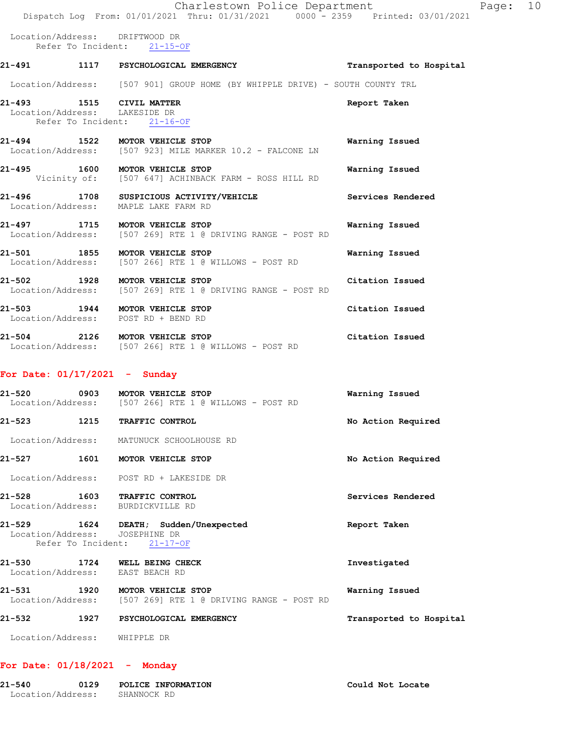|        | Charlestown Police Department                                                                 |                         | Page: 10 |  |
|--------|-----------------------------------------------------------------------------------------------|-------------------------|----------|--|
|        | Dispatch Log From: 01/01/2021 Thru: 01/31/2021 0000 <sup>-</sup> 2359 Printed: 03/01/2021     |                         |          |  |
|        | Location/Address: DRIFTWOOD DR<br>Refer To Incident: 21-15-OF                                 |                         |          |  |
|        | 21-491 1117 PSYCHOLOGICAL EMERGENCY                                                           | Transported to Hospital |          |  |
|        | Location/Address: [507 901] GROUP HOME (BY WHIPPLE DRIVE) - SOUTH COUNTY TRL                  |                         |          |  |
|        | 21-493 1515 CIVIL MATTER<br>Location/Address: LAKESIDE DR<br>Refer To Incident: 21-16-OF      | Report Taken            |          |  |
|        | 21-494 1522 MOTOR VEHICLE STOP<br>Location/Address: [507 923] MILE MARKER 10.2 - FALCONE LN   | Warning Issued          |          |  |
|        | 21-495 1600 MOTOR VEHICLE STOP<br>Vicinity of: [507 647] ACHINBACK FARM - ROSS HILL RD        | Warning Issued          |          |  |
|        | 21-496 1708 SUSPICIOUS ACTIVITY/VEHICLE<br>Location/Address: MAPLE LAKE FARM RD               | Services Rendered       |          |  |
|        | 21-497 1715 MOTOR VEHICLE STOP<br>Location/Address: [507 269] RTE 1 @ DRIVING RANGE - POST RD | Warning Issued          |          |  |
|        | 21-501 1855 MOTOR VEHICLE STOP<br>Location/Address: [507 266] RTE 1 @ WILLOWS - POST RD       | Warning Issued          |          |  |
|        | 21-502 1928 MOTOR VEHICLE STOP<br>Location/Address: [507 269] RTE 1 @ DRIVING RANGE - POST RD | Citation Issued         |          |  |
|        | 21-503 1944 MOTOR VEHICLE STOP<br>Location/Address: POST RD + BEND RD                         | Citation Issued         |          |  |
|        | 21-504 2126 MOTOR VEHICLE STOP<br>Location/Address: [507 266] RTE 1 @ WILLOWS - POST RD       | Citation Issued         |          |  |
|        | For Date: $01/17/2021$ - Sunday                                                               |                         |          |  |
| 21-520 | 0903 MOTOR VEHICLE STOP<br>Location/Address: [507 266] RTE 1 @ WILLOWS - POST RD              | Warning Issued          |          |  |
| 21-523 | 1215 TRAFFIC CONTROL                                                                          | No Action Required      |          |  |
|        |                                                                                               |                         |          |  |

Location/Address: MATUNUCK SCHOOLHOUSE RD

**21-527 1601 MOTOR VEHICLE STOP No Action Required** 

Location/Address: POST RD + LAKESIDE DR

**21-528 1603 TRAFFIC CONTROL Services Rendered**  Location/Address: BURDICKVILLE RD

**21-529 1624 DEATH; Sudden/Unexpected Report Taken**  Location/Address: JOSEPHINE DR Refer To Incident: 21-17-OF

## **21-530 1724 WELL BEING CHECK Investigated**  Location/Address: EAST BEACH RD **21-531 1920 MOTOR VEHICLE STOP Warning Issued**  Location/Address: [507 269] RTE 1 @ DRIVING RANGE - POST RD

**21-532 1927 PSYCHOLOGICAL EMERGENCY Transported to Hospital** 

Location/Address: WHIPPLE DR

### **For Date: 01/18/2021 - Monday**

| 21-540            | 0129 | POLICE INFORMATION | Could Not Locate |
|-------------------|------|--------------------|------------------|
| Location/Address: |      | SHANNOCK RD        |                  |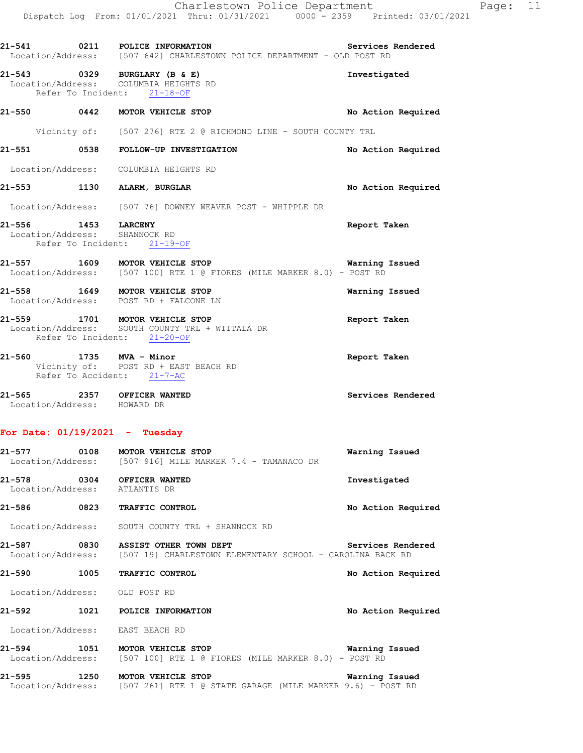|                                                      | 21-541 0211 POLICE INFORMATION<br>Location/Address: [507 642] CHARLESTOWN POLICE DEPARTMENT - OLD POST RD         | Services Rendered  |
|------------------------------------------------------|-------------------------------------------------------------------------------------------------------------------|--------------------|
|                                                      | 21-543 0329 BURGLARY (B & E)<br>Location/Address: COLUMBIA HEIGHTS RD<br>Refer To Incident: 21-18-OF              | Investigated       |
|                                                      | 21-550 0442 MOTOR VEHICLE STOP                                                                                    | No Action Required |
|                                                      | Vicinity of: [507 276] RTE 2 @ RICHMOND LINE - SOUTH COUNTY TRL                                                   |                    |
|                                                      | 21-551 0538 FOLLOW-UP INVESTIGATION                                                                               | No Action Required |
|                                                      | Location/Address: COLUMBIA HEIGHTS RD                                                                             |                    |
|                                                      | 21-553 1130 ALARM, BURGLAR                                                                                        | No Action Required |
|                                                      | Location/Address: [507 76] DOWNEY WEAVER POST - WHIPPLE DR                                                        |                    |
| 21-556 1453 LARCENY<br>Location/Address: SHANNOCK RD | Refer To Incident: 21-19-OF                                                                                       | Report Taken       |
|                                                      | 21-557 1609 MOTOR VEHICLE STOP<br>Location/Address: [507 100] RTE 1 @ FIORES (MILE MARKER 8.0) - POST RD          | Warning Issued     |
|                                                      | 21-558 1649 MOTOR VEHICLE STOP<br>Location/Address: POST RD + FALCONE LN                                          | Warning Issued     |
|                                                      | 21-559 1701 MOTOR VEHICLE STOP<br>Location/Address: SOUTH COUNTY TRL + WIITALA DR<br>Refer To Incident: 21-20-OF  | Report Taken       |
|                                                      | 21-560 1735 MVA - Minor<br>Vicinity of: POST RD + EAST BEACH RD<br>Refer To Accident: 21-7-AC                     | Report Taken       |
| Location/Address: HOWARD DR                          | 21-565 2357 OFFICER WANTED                                                                                        | Services Rendered  |
| For Date: $01/19/2021$ - Tuesday                     |                                                                                                                   |                    |
| 21-577                                               | 0108 MOTOR VEHICLE STOP<br>Location/Address: [507 916] MILE MARKER 7.4 - TAMANACO DR                              | Warning Issued     |
| Location/Address: ATLANTIS DR                        | 21-578 0304 OFFICER WANTED                                                                                        | Investigated       |
| 21-586                                               | 0823 TRAFFIC CONTROL                                                                                              | No Action Required |
|                                                      | Location/Address: SOUTH COUNTY TRL + SHANNOCK RD                                                                  |                    |
|                                                      | 21-587 0830 ASSIST OTHER TOWN DEPT<br>Location/Address: [507 19] CHARLESTOWN ELEMENTARY SCHOOL - CAROLINA BACK RD | Services Rendered  |
|                                                      | 21-590 1005 TRAFFIC CONTROL                                                                                       | No Action Required |
| Location/Address: OLD POST RD                        |                                                                                                                   |                    |
| 21-592                                               | 1021 POLICE INFORMATION                                                                                           | No Action Required |
|                                                      | Location/Address: EAST BEACH RD                                                                                   |                    |

**21-594 1051 MOTOR VEHICLE STOP Warning Issued**  Location/Address: [507 100] RTE 1 @ FIORES (MILE MARKER 8.0) - POST RD

**21-595 1250 MOTOR VEHICLE STOP Warning Issued**  Location/Address: [507 261] RTE 1 @ STATE GARAGE (MILE MARKER 9.6) - POST RD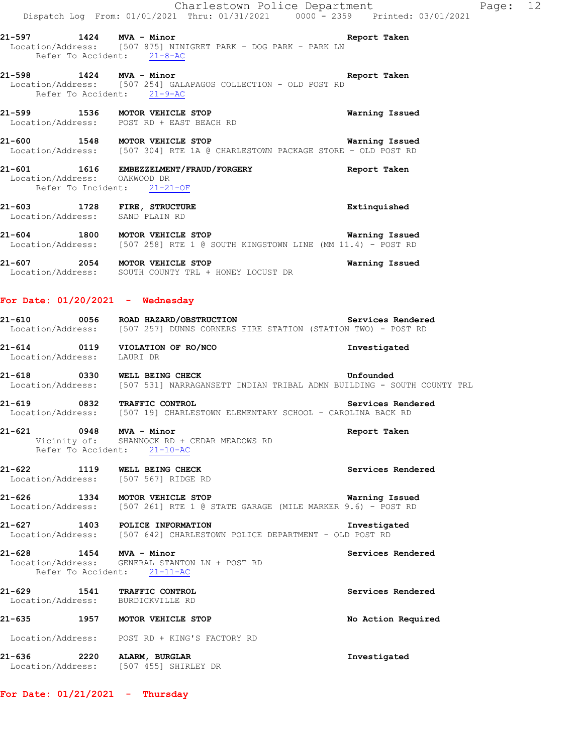Charlestown Police Department Fage: 12 Dispatch Log From: 01/01/2021 Thru: 01/31/2021 0000 - 2359 Printed: 03/01/2021 **21-597 1424 MVA - Minor Report Taken**  Location/Address: [507 875] NINIGRET PARK - DOG PARK - PARK LN Refer To Accident: 21-8-AC **21-598 1424 MVA - Minor Report Taken**  Location/Address: [507 254] GALAPAGOS COLLECTION - OLD POST RD Refer To Accident: 21-9-AC **21-599 1536 MOTOR VEHICLE STOP Warning Issued**  Location/Address: POST RD + EAST BEACH RD **21-600 1548 MOTOR VEHICLE STOP Warning Issued**  Location/Address: [507 304] RTE 1A @ CHARLESTOWN PACKAGE STORE - OLD POST RD **21-601 1616 EMBEZZELMENT/FRAUD/FORGERY Report Taken**  Location/Address: OAKWOOD DR Refer To Incident: 21-21-OF **21-603 1728 FIRE, STRUCTURE Extinquished**  Location/Address: SAND PLAIN RD **21-604 1800 MOTOR VEHICLE STOP WATH WATHING ISSUED**<br>Location/Address: [507 258] RTE 1 @ SOUTH KINGSTOWN LINE (MM 11.4) - POST RD [507 258] RTE 1 @ SOUTH KINGSTOWN LINE (MM 11.4) - POST RD **21-607 2054 MOTOR VEHICLE STOP Warning Issued**  Location/Address: SOUTH COUNTY TRL + HONEY LOCUST DR **For Date: 01/20/2021 - Wednesday 21-610 0056 ROAD HAZARD/OBSTRUCTION Services Rendered**  Location/Address: [507 257] DUNNS CORNERS FIRE STATION (STATION TWO) - POST RD **21-614 0119 VIOLATION OF RO/NCO Investigated**  Location/Address: LAURI DR **21-618 0330 WELL BEING CHECK Unfounded**  Location/Address: [507 531] NARRAGANSETT INDIAN TRIBAL ADMN BUILDING - SOUTH COUNTY TRL **21-619 0832 TRAFFIC CONTROL Services Rendered**  Location/Address: [507 19] CHARLESTOWN ELEMENTARY SCHOOL - CAROLINA BACK RD **21-621 0948 MVA - Minor Report Taken**  Vicinity of: SHANNOCK RD + CEDAR MEADOWS RD Refer To Accident: 21-10-AC **21-622 1119 WELL BEING CHECK Services Rendered**  Location/Address: [507 567] RIDGE RD **21-626 1334 MOTOR VEHICLE STOP Warning Issued**  Location/Address: [507 261] RTE 1 @ STATE GARAGE (MILE MARKER 9.6) - POST RD **21-627 1403 POLICE INFORMATION Investigated**  Location/Address: [507 642] CHARLESTOWN POLICE DEPARTMENT - OLD POST RD **21-628 1454 MVA - Minor Services Rendered**  Location/Address: GENERAL STANTON LN + POST RD Refer To Accident: 21-11-AC **21-629 1541 TRAFFIC CONTROL Services Rendered**  Location/Address: BURDICKVILLE RD **21-635 1957 MOTOR VEHICLE STOP No Action Required**  Location/Address: POST RD + KING'S FACTORY RD **21-636 2220 ALARM, BURGLAR Investigated**  Location/Address: [507 455] SHIRLEY DR

**For Date: 01/21/2021 - Thursday**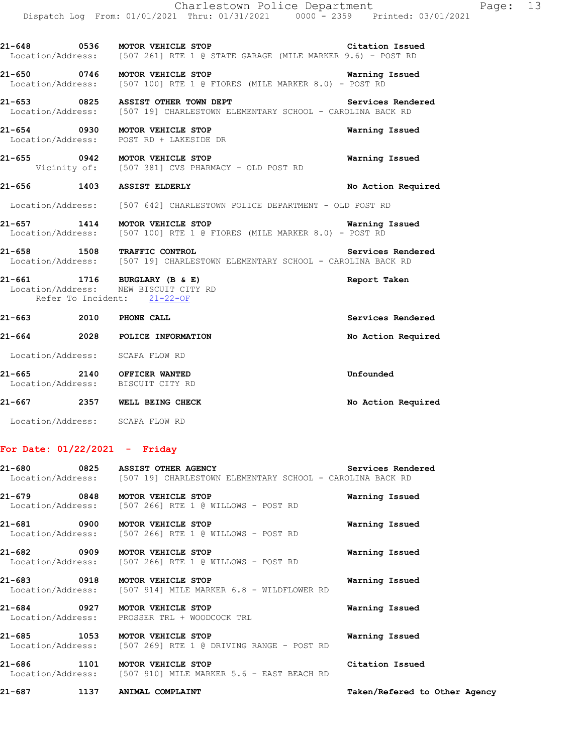**21-650 0746 MOTOR VEHICLE STOP Warning Issued**  Location/Address: [507 100] RTE 1 @ FIORES (MILE MARKER 8.0) - POST RD

21-653 **0825** ASSIST OTHER TOWN DEPT **Services Rendered** Location/Address: [507 19] CHARLESTOWN ELEMENTARY SCHOOL - CAROLINA BACK RD

**21-654 0930 MOTOR VEHICLE STOP Warning Issued**  Location/Address: POST RD + LAKESIDE DR

**21-655 0942 MOTOR VEHICLE STOP Warning Issued**  Vicinity of: [507 381] CVS PHARMACY - OLD POST RD

**21-656 1403 ASSIST ELDERLY No Action Required** 

Location/Address: [507 642] CHARLESTOWN POLICE DEPARTMENT - OLD POST RD

- **21-657 1414 MOTOR VEHICLE STOP Warning Issued**  Location/Address: [507 100] RTE 1 @ FIORES (MILE MARKER 8.0) - POST RD
- **21-658 1508 TRAFFIC CONTROL Services Rendered**  Location/Address: [507 19] CHARLESTOWN ELEMENTARY SCHOOL - CAROLINA BACK RD

**21-661 1716 BURGLARY (B & E) Report Taken**  Location/Address: NEW BISCUIT CITY RD Refer To Incident: 21-22-OF

| 21-663                      | 2010 | PHONE CALL                        | Services Rendered  |
|-----------------------------|------|-----------------------------------|--------------------|
| 21-664                      | 2028 | POLICE INFORMATION                | No Action Required |
| Location/Address:           |      | SCAPA FLOW RD                     |                    |
| 21-665<br>Location/Address: | 2140 | OFFICER WANTED<br>BISCUIT CITY RD | Unfounded          |
| 21-667                      | 2357 | WELL BEING CHECK                  | No Action Required |

Location/Address: SCAPA FLOW RD

#### **For Date: 01/22/2021 - Friday**

|                                | 21-680 0825 ASSIST OTHER AGENCY<br>Location/Address: [507 19] CHARLESTOWN ELEMENTARY SCHOOL - CAROLINA BACK RD | Services Rendered |
|--------------------------------|----------------------------------------------------------------------------------------------------------------|-------------------|
| 21-679 0848 MOTOR VEHICLE STOP | Location/Address: [507 266] RTE 1 @ WILLOWS - POST RD                                                          | Warning Issued    |
| 21-681 0900 MOTOR VEHICLE STOP | Location/Address: [507 266] RTE 1 @ WILLOWS - POST RD                                                          | Warning Issued    |
| 21-682 0909 MOTOR VEHICLE STOP | Location/Address: [507 266] RTE 1 @ WILLOWS - POST RD                                                          | Warning Issued    |
|                                | 21-683 0918 MOTOR VEHICLE STOP<br>Location/Address: [507 914] MILE MARKER 6.8 - WILDFLOWER RD                  | Warning Issued    |
| 21-684 0927 MOTOR VEHICLE STOP | Location/Address: PROSSER TRL + WOODCOCK TRL                                                                   | Warning Issued    |
| 21-685 1053 MOTOR VEHICLE STOP | Location/Address: [507 269] RTE 1 @ DRIVING RANGE - POST RD                                                    | Warning Issued    |
|                                | 21-686 1101 MOTOR VEHICLE STOP<br>Location/Address: [507 910] MILE MARKER 5.6 - EAST BEACH RD                  | Citation Issued   |

**21-687 1137 ANIMAL COMPLAINT Taken/Refered to Other Agency**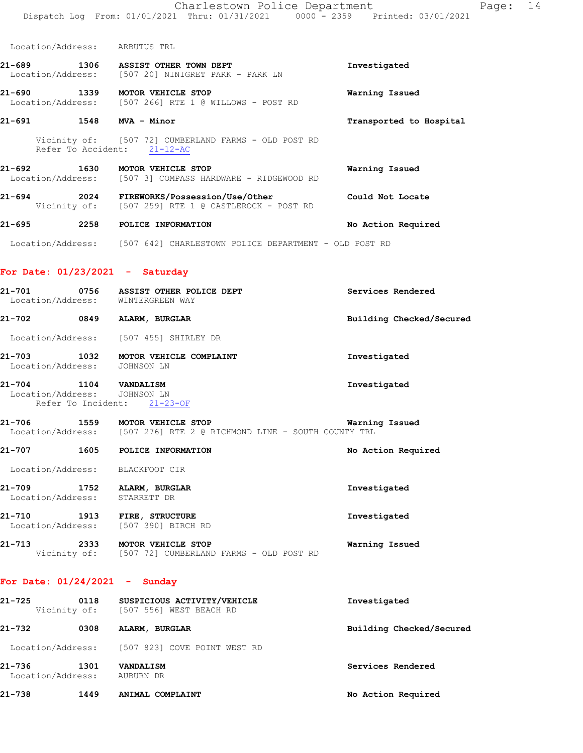Location/Address: ARBUTUS TRL

- **21-689 1306 ASSIST OTHER TOWN DEPT Investigated**  Location/Address: [507 20] NINIGRET PARK - PARK LN
- **21-690 1339 MOTOR VEHICLE STOP Warning Issued**  Location/Address: [507 266] RTE 1 @ WILLOWS - POST RD
- **21-691 1548 MVA Minor Transported to Hospital** 
	- Vicinity of: [507 72] CUMBERLAND FARMS OLD POST RD Refer To Accident: 21-12-AC
- 21-692 1630 MOTOR VEHICLE STOP **WARE MARICIS WARE WARE WARE** Location/Address: [507 3] COMPASS HARDWARE RIDGEWOOD RD [507 3] COMPASS HARDWARE - RIDGEWOOD RD
- **21-694 2024 FIREWORKS/Possession/Use/Other Could Not Locate**  Vicinity of: [507 259] RTE 1 @ CASTLEROCK - POST RD
- **21-695 2258 POLICE INFORMATION No Action Required**
- Location/Address: [507 642] CHARLESTOWN POLICE DEPARTMENT OLD POST RD

#### **For Date: 01/23/2021 - Saturday**

- **21-701 0756 ASSIST OTHER POLICE DEPT Services Rendered**  Location/Address: WINTERGREEN WAY **21-702 0849 ALARM, BURGLAR Building Checked/Secured**  Location/Address: [507 455] SHIRLEY DR **21-703 1032 MOTOR VEHICLE COMPLAINT Investigated**  Location/Address: JOHNSON LN **21-704 1104 VANDALISM Investigated**  Location/Address: JOHNSON LN Refer To Incident: 21-23-OF **21-706 1559 MOTOR VEHICLE STOP Warning Issued**
- Location/Address: [507 276] RTE 2 @ RICHMOND LINE SOUTH COUNTY TRL
- **21-707 1605 POLICE INFORMATION No Action Required** 
	- Location/Address: BLACKFOOT CIR
- **21-709 1752 ALARM, BURGLAR Investigated**  Location/Address: STARRETT DR **21-710 1913 FIRE, STRUCTURE Investigated**
- Location/Address: [507 390] BIRCH RD
- **21-713** 2333 MOTOR VEHICLE STOP Warning Issued Vicinity of: [507 72] CUMBERLAND FARMS OLD POST RD [507 72] CUMBERLAND FARMS - OLD POST RD

#### **For Date: 01/24/2021 - Sunday**

| 21-725                      | 0118 | SUSPICIOUS ACTIVITY/VEHICLE<br>Vicinity of: [507 556] WEST BEACH RD | Investigated             |
|-----------------------------|------|---------------------------------------------------------------------|--------------------------|
| 21-732                      | 0308 | ALARM, BURGLAR                                                      | Building Checked/Secured |
|                             |      | Location/Address: [507 823] COVE POINT WEST RD                      |                          |
| 21-736<br>Location/Address: | 1301 | <b>VANDALISM</b><br>AUBURN DR                                       | Services Rendered        |
| 21-738                      | 1449 | ANIMAL COMPLAINT                                                    | No Action Required       |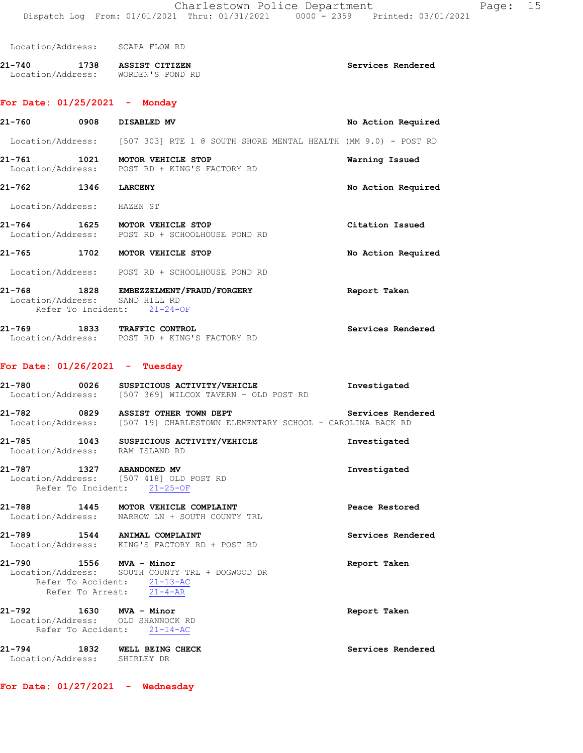| Location/Address: | SCAPA FLOW RD |  |  |
|-------------------|---------------|--|--|
|                   |               |  |  |

| 21-740            | 1738 | ASSIST CITIZEN   | Services Rendered |
|-------------------|------|------------------|-------------------|
| Location/Address: |      | WORDEN'S POND RD |                   |

#### **For Date: 01/25/2021 - Monday**

| 21-760                      | 0908 | DISABLED MV                                                                      | No Action Required |
|-----------------------------|------|----------------------------------------------------------------------------------|--------------------|
|                             |      | Location/Address: [507 303] RTE 1 @ SOUTH SHORE MENTAL HEALTH (MM 9.0) - POST RD |                    |
| 21–761                      | 1021 | MOTOR VEHICLE STOP<br>Location/Address: POST RD + KING'S FACTORY RD              | Warning Issued     |
| 21-762                      | 1346 | <b>LARCENY</b>                                                                   | No Action Required |
| Location/Address: HAZEN ST  |      |                                                                                  |                    |
| 21–764                      |      | 1625 MOTOR VEHICLE STOP<br>Location/Address: POST RD + SCHOOLHOUSE POND RD       | Citation Issued    |
| 21-765                      |      | 1702 MOTOR VEHICLE STOP                                                          | No Action Required |
|                             |      | Location/Address: POST RD + SCHOOLHOUSE POND RD                                  |                    |
| 21-768<br>Location/Address: | 1828 | EMBEZZELMENT/FRAUD/FORGERY<br>SAND HILL RD<br>Refer To Incident: 21-24-OF        | Report Taken       |

**21-769 1833 TRAFFIC CONTROL Services Rendered**  Location/Address: POST RD + KING'S FACTORY RD

## **For Date: 01/26/2021 - Tuesday**

| FOI Date. 01/20/2021 - Idesday                                                                     |                                                                                                                   |                   |
|----------------------------------------------------------------------------------------------------|-------------------------------------------------------------------------------------------------------------------|-------------------|
|                                                                                                    | 21-780  0026  SUSPICIOUS ACTIVITY/VEHICLE<br>Location/Address: [507 369] WILCOX TAVERN - OLD POST RD              | Investigated      |
|                                                                                                    | 21-782 0829 ASSIST OTHER TOWN DEPT<br>Location/Address: [507 19] CHARLESTOWN ELEMENTARY SCHOOL - CAROLINA BACK RD | Services Rendered |
| Location/Address: RAM ISLAND RD                                                                    | 21-785 1043 SUSPICIOUS ACTIVITY/VEHICLE                                                                           | Investigated      |
| 21-787 1327 ABANDONED MV<br>Location/Address: [507 418] OLD POST RD<br>Refer To Incident: 21-25-OF |                                                                                                                   | Investigated      |
|                                                                                                    | 21-788 1445 MOTOR VEHICLE COMPLAINT<br>Location/Address: NARROW LN + SOUTH COUNTY TRL                             | Peace Restored    |
| 21-789 1544 ANIMAL COMPLAINT                                                                       | Location/Address: KING'S FACTORY RD + POST RD                                                                     | Services Rendered |
| 21-790 1556 MVA - Minor<br>Refer To Accident: 21-13-AC<br>Refer To Arrest: 21-4-AR                 | Location/Address: SOUTH COUNTY TRL + DOGWOOD DR                                                                   | Report Taken      |
| 21-792 1630 MVA - Minor<br>Location/Address: OLD SHANNOCK RD<br>Refer To Accident: 21-14-AC        |                                                                                                                   | Report Taken      |
| 21-794 1832 WELL BEING CHECK<br>Location/Address: SHIRLEY DR                                       |                                                                                                                   | Services Rendered |

**For Date: 01/27/2021 - Wednesday**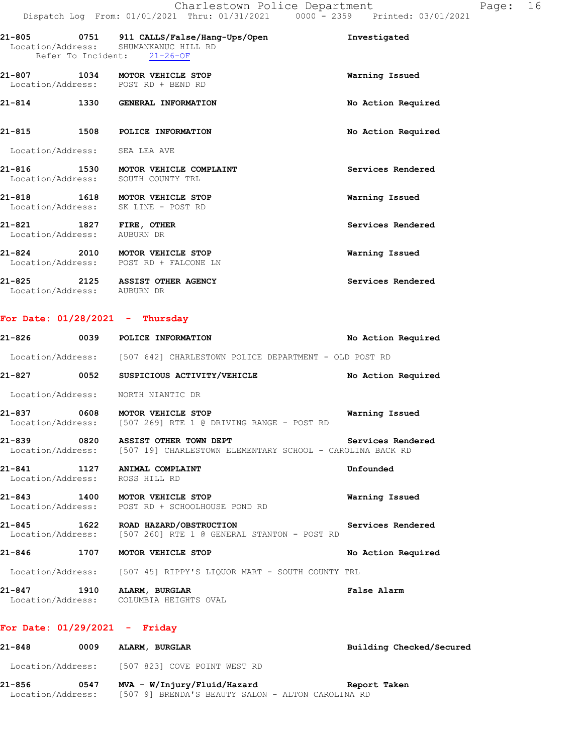|                                                        |      | 21-805 0751 911 CALLS/False/Hang-Ups/Open<br>Location/Address: SHUMANKANUC HILL RD<br>Refer To Incident: 21-26-OF | Investigated       |
|--------------------------------------------------------|------|-------------------------------------------------------------------------------------------------------------------|--------------------|
|                                                        |      | 21-807 1034 MOTOR VEHICLE STOP<br>Location/Address: POST RD + BEND RD                                             | Warning Issued     |
|                                                        |      | 21-814 1330 GENERAL INFORMATION                                                                                   | No Action Required |
| $21 - 815$                                             | 1508 | POLICE INFORMATION                                                                                                | No Action Required |
| Location/Address: SEA LEA AVE                          |      |                                                                                                                   |                    |
|                                                        |      | 21-816 1530 MOTOR VEHICLE COMPLAINT<br>Location/Address: SOUTH COUNTY TRL                                         | Services Rendered  |
|                                                        |      | 21-818 1618 MOTOR VEHICLE STOP<br>Location/Address: SK LINE - POST RD                                             | Warning Issued     |
| 21-821 1827 FIRE, OTHER<br>Location/Address: AUBURN DR |      |                                                                                                                   | Services Rendered  |
|                                                        |      | 21-824 2010 MOTOR VEHICLE STOP<br>Location/Address: POST RD + FALCONE LN                                          | Warning Issued     |
| Location/Address: AUBURN DR                            |      | 21-825 2125 ASSIST OTHER AGENCY                                                                                   | Services Rendered  |

### **For Date: 01/28/2021 - Thursday**

|            | 21-826 0039 POLICE INFORMATION                                                                                                         | No Action Required |
|------------|----------------------------------------------------------------------------------------------------------------------------------------|--------------------|
|            | Location/Address: [507 642] CHARLESTOWN POLICE DEPARTMENT - OLD POST RD                                                                |                    |
|            | 21-827 		 0052 		 SUSPICIOUS ACTIVITY/VEHICLE 			 No Action Required                                                                   |                    |
|            | Location/Address: NORTH NIANTIC DR                                                                                                     |                    |
|            | 21-837 0608 MOTOR VEHICLE STOP<br>Location/Address: [507 269] RTE 1 @ DRIVING RANGE - POST RD                                          | Warning Issued     |
|            | Services Rendered<br>21-839 0820 ASSIST OTHER TOWN DEPT<br>Location/Address: [507 19] CHARLESTOWN ELEMENTARY SCHOOL - CAROLINA BACK RD |                    |
|            | 21-841 1127 ANIMAL COMPLAINT<br>Location/Address: ROSS HILL RD                                                                         | Unfounded          |
|            | 21-843 1400 MOTOR VEHICLE STOP<br>Location/Address: POST RD + SCHOOLHOUSE POND RD                                                      | Warning Issued     |
|            | 21-845 1622 ROAD HAZARD/OBSTRUCTION<br>Location/Address: [507 260] RTE 1 @ GENERAL STANTON - POST RD                                   | Services Rendered  |
| $21 - 846$ | 1707 MOTOR VEHICLE STOP                                                                                                                | No Action Required |
|            | Location/Address: [507 45] RIPPY'S LIOUOR MART - SOUTH COUNTY TRL                                                                      |                    |

**21-847 1910 ALARM, BURGLAR False Alarm**  Location/Address: COLUMBIA HEIGHTS OVAL

### **For Date: 01/29/2021 - Friday**

| 21-848            | 0009 | ALARM, BURGLAR                                    | Building Checked/Secured |
|-------------------|------|---------------------------------------------------|--------------------------|
| Location/Address: |      | [507 823] COVE POINT WEST RD                      |                          |
| 21-856            | 0547 | MVA - W/Injury/Fluid/Hazard                       | Report Taken             |
| Location/Address: |      | [507 9] BRENDA'S BEAUTY SALON - ALTON CAROLINA RD |                          |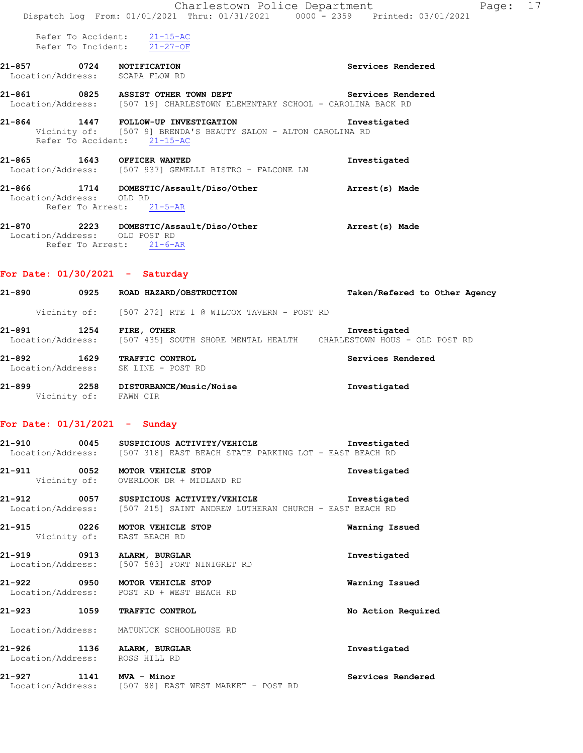|                                                                    | Charlestown Police Department<br>Dispatch Log From: 01/01/2021 Thru: 01/31/2021 0000 - 2359 Printed: 03/01/2021                      | Page: 17                      |
|--------------------------------------------------------------------|--------------------------------------------------------------------------------------------------------------------------------------|-------------------------------|
|                                                                    | Refer To Accident: 21-15-AC<br>Refer To Incident: $21-27-OF$                                                                         |                               |
| 21-857 0724 NOTIFICATION<br>Location/Address: SCAPA FLOW RD        |                                                                                                                                      | Services Rendered             |
|                                                                    | 21-861 0825 ASSIST OTHER TOWN DEPT<br>Location/Address: [507 19] CHARLESTOWN ELEMENTARY SCHOOL - CAROLINA BACK RD                    | Services Rendered             |
|                                                                    | 21-864 1447 FOLLOW-UP INVESTIGATION<br>Vicinity of: [507 9] BRENDA'S BEAUTY SALON - ALTON CAROLINA RD<br>Refer To Accident: 21-15-AC | Investigated                  |
| 21-865 1643 OFFICER WANTED                                         | Location/Address: [507 937] GEMELLI BISTRO - FALCONE LN                                                                              | Investigated                  |
| Location/Address: OLD RD                                           | 21-866 1714 DOMESTIC/Assault/Diso/Other<br>Refer To Arrest: 21-5-AR                                                                  | Arrest(s) Made                |
|                                                                    | 21-870 2223 DOMESTIC/Assault/Diso/Other<br>Location/Address: OLD POST RD<br>Refer To Arrest: 21-6-AR                                 | Arrest(s) Made                |
| For Date: $01/30/2021$ - Saturday                                  |                                                                                                                                      |                               |
|                                                                    | 21-890 0925 ROAD HAZARD/OBSTRUCTION                                                                                                  | Taken/Refered to Other Agency |
|                                                                    | Vicinity of: [507 272] RTE 1 @ WILCOX TAVERN - POST RD                                                                               |                               |
| 21-891 1254 FIRE, OTHER                                            | Location/Address: [507 435] SOUTH SHORE MENTAL HEALTH CHARLESTOWN HOUS - OLD POST RD                                                 | Investigated                  |
| 21-892 1629 TRAFFIC CONTROL<br>Location/Address: SK LINE - POST RD |                                                                                                                                      | Services Rendered             |
| 2258<br>21-899                                                     | DISTURBANCE/Music/Noise                                                                                                              | Investigated                  |

Vicinity of: FAWN CIR

# **For Date: 01/31/2021 - Sunday**

|                                                              | 21-910 0045 SUSPICIOUS ACTIVITY/VEHICLE Threstigated<br>Location/Address: [507 318] EAST BEACH STATE PARKING LOT - EAST BEACH RD     |                    |
|--------------------------------------------------------------|--------------------------------------------------------------------------------------------------------------------------------------|--------------------|
|                                                              | 21-911 0052 MOTOR VEHICLE STOP<br>Vicinity of: OVERLOOK DR + MIDLAND RD                                                              | Investigated       |
|                                                              | 21-912 0057 SUSPICIOUS ACTIVITY/VEHICLE The Investigated<br>Location/Address: [507 215] SAINT ANDREW LUTHERAN CHURCH - EAST BEACH RD |                    |
| $\sim$ 0226<br>21-915                                        | MOTOR VEHICLE STOP<br>Vicinity of: EAST BEACH RD                                                                                     | Warning Issued     |
| 21-919 0913 ALARM, BURGLAR                                   | Location/Address: [507 583] FORT NINIGRET RD                                                                                         | Investigated       |
|                                                              | 21-922 0950 MOTOR VEHICLE STOP<br>Location/Address: POST RD + WEST BEACH RD                                                          | Warning Issued     |
| 1059<br>21-923                                               | TRAFFIC CONTROL                                                                                                                      | No Action Required |
|                                                              | Location/Address: MATUNUCK SCHOOLHOUSE RD                                                                                            |                    |
| 21-926 1136 ALARM, BURGLAR<br>Location/Address: ROSS HILL RD |                                                                                                                                      | Investigated       |
| 21-927 1141 MVA - Minor                                      | Location/Address: [507 88] EAST WEST MARKET - POST RD                                                                                | Services Rendered  |